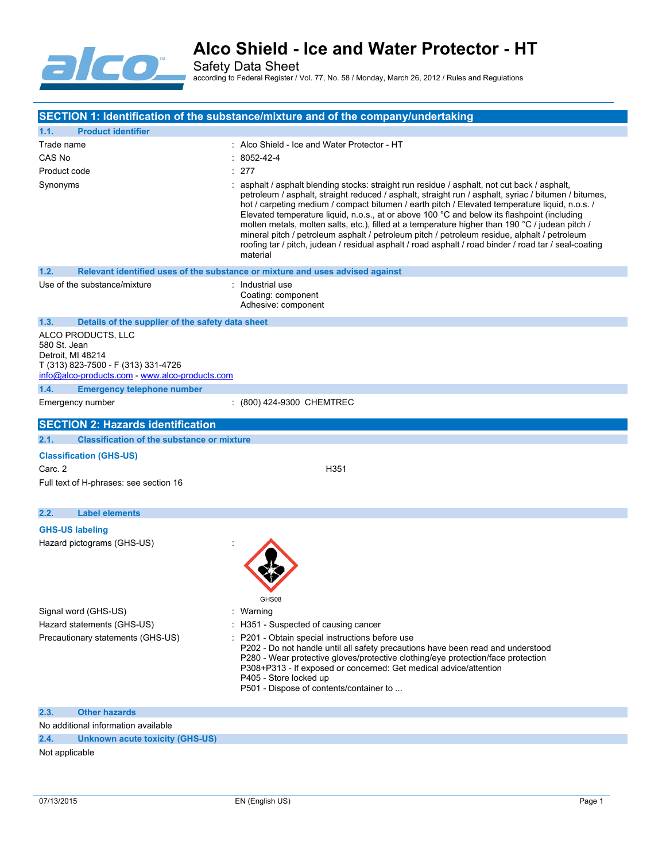

|                                                                                                                                                                                               | SECTION 1: Identification of the substance/mixture and of the company/undertaking                                                                                                                                                                                                                                                                                                                                                                                                                                                                                                                                                                                                                                             |
|-----------------------------------------------------------------------------------------------------------------------------------------------------------------------------------------------|-------------------------------------------------------------------------------------------------------------------------------------------------------------------------------------------------------------------------------------------------------------------------------------------------------------------------------------------------------------------------------------------------------------------------------------------------------------------------------------------------------------------------------------------------------------------------------------------------------------------------------------------------------------------------------------------------------------------------------|
| 1.1.<br><b>Product identifier</b>                                                                                                                                                             |                                                                                                                                                                                                                                                                                                                                                                                                                                                                                                                                                                                                                                                                                                                               |
| Trade name                                                                                                                                                                                    | : Alco Shield - Ice and Water Protector - HT                                                                                                                                                                                                                                                                                                                                                                                                                                                                                                                                                                                                                                                                                  |
| CAS No                                                                                                                                                                                        | $: 8052 - 42 - 4$                                                                                                                                                                                                                                                                                                                                                                                                                                                                                                                                                                                                                                                                                                             |
| Product code                                                                                                                                                                                  | : 277                                                                                                                                                                                                                                                                                                                                                                                                                                                                                                                                                                                                                                                                                                                         |
| Synonyms                                                                                                                                                                                      | : asphalt / asphalt blending stocks: straight run residue / asphalt, not cut back / asphalt,<br>petroleum / asphalt, straight reduced / asphalt, straight run / asphalt, syriac / bitumen / bitumes,<br>hot / carpeting medium / compact bitumen / earth pitch / Elevated temperature liquid, n.o.s. /<br>Elevated temperature liquid, n.o.s., at or above 100 °C and below its flashpoint (including<br>molten metals, molten salts, etc.), filled at a temperature higher than 190 °C / judean pitch /<br>mineral pitch / petroleum asphalt / petroleum pitch / petroleum residue, alphalt / petroleum<br>roofing tar / pitch, judean / residual asphalt / road asphalt / road binder / road tar / seal-coating<br>material |
| 1.2.                                                                                                                                                                                          | Relevant identified uses of the substance or mixture and uses advised against                                                                                                                                                                                                                                                                                                                                                                                                                                                                                                                                                                                                                                                 |
| Use of the substance/mixture                                                                                                                                                                  | : Industrial use<br>Coating: component<br>Adhesive: component                                                                                                                                                                                                                                                                                                                                                                                                                                                                                                                                                                                                                                                                 |
| 1.3.<br>Details of the supplier of the safety data sheet                                                                                                                                      |                                                                                                                                                                                                                                                                                                                                                                                                                                                                                                                                                                                                                                                                                                                               |
| ALCO PRODUCTS, LLC<br>580 St. Jean<br>Detroit, MI 48214<br>T (313) 823-7500 - F (313) 331-4726<br>info@alco-products.com - www.alco-products.com<br>1.4.<br><b>Emergency telephone number</b> |                                                                                                                                                                                                                                                                                                                                                                                                                                                                                                                                                                                                                                                                                                                               |
| Emergency number                                                                                                                                                                              | : (800) 424-9300 CHEMTREC                                                                                                                                                                                                                                                                                                                                                                                                                                                                                                                                                                                                                                                                                                     |
|                                                                                                                                                                                               |                                                                                                                                                                                                                                                                                                                                                                                                                                                                                                                                                                                                                                                                                                                               |
| <b>SECTION 2: Hazards identification</b>                                                                                                                                                      |                                                                                                                                                                                                                                                                                                                                                                                                                                                                                                                                                                                                                                                                                                                               |
| <b>Classification of the substance or mixture</b><br>2.1.                                                                                                                                     |                                                                                                                                                                                                                                                                                                                                                                                                                                                                                                                                                                                                                                                                                                                               |
| <b>Classification (GHS-US)</b><br>Carc. 2<br>Full text of H-phrases: see section 16                                                                                                           | H351                                                                                                                                                                                                                                                                                                                                                                                                                                                                                                                                                                                                                                                                                                                          |
| <b>Label elements</b><br>2.2.                                                                                                                                                                 |                                                                                                                                                                                                                                                                                                                                                                                                                                                                                                                                                                                                                                                                                                                               |
| <b>GHS-US labeling</b><br>Hazard pictograms (GHS-US)                                                                                                                                          | GHS08                                                                                                                                                                                                                                                                                                                                                                                                                                                                                                                                                                                                                                                                                                                         |
| Signal word (GHS-US)                                                                                                                                                                          | : Warning                                                                                                                                                                                                                                                                                                                                                                                                                                                                                                                                                                                                                                                                                                                     |
| Hazard statements (GHS-US)                                                                                                                                                                    | : H351 - Suspected of causing cancer                                                                                                                                                                                                                                                                                                                                                                                                                                                                                                                                                                                                                                                                                          |
| Precautionary statements (GHS-US)                                                                                                                                                             | : P201 - Obtain special instructions before use<br>P202 - Do not handle until all safety precautions have been read and understood<br>P280 - Wear protective gloves/protective clothing/eye protection/face protection<br>P308+P313 - If exposed or concerned: Get medical advice/attention<br>P405 - Store locked up<br>P501 - Dispose of contents/container to                                                                                                                                                                                                                                                                                                                                                              |
| 2.3.<br><b>Other hazards</b>                                                                                                                                                                  |                                                                                                                                                                                                                                                                                                                                                                                                                                                                                                                                                                                                                                                                                                                               |
| No additional information available                                                                                                                                                           |                                                                                                                                                                                                                                                                                                                                                                                                                                                                                                                                                                                                                                                                                                                               |
| 2.4.<br><b>Unknown acute toxicity (GHS-US)</b>                                                                                                                                                |                                                                                                                                                                                                                                                                                                                                                                                                                                                                                                                                                                                                                                                                                                                               |
| Not applicable                                                                                                                                                                                |                                                                                                                                                                                                                                                                                                                                                                                                                                                                                                                                                                                                                                                                                                                               |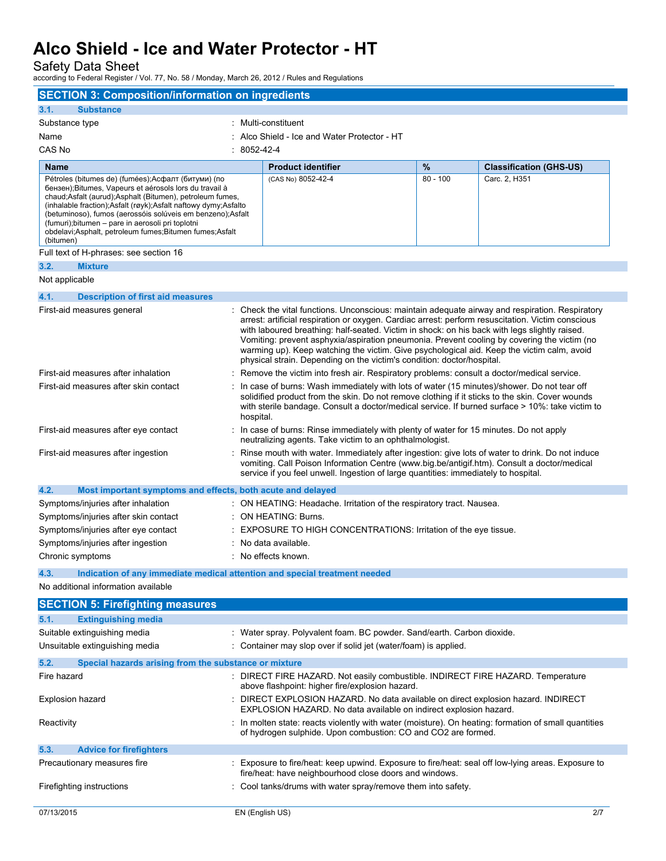Safety Data Sheet

| <b>SECTION 3: Composition/information on ingredients</b>                                                                                                                                                                                                                                                                                                                                                                                   |             |                                                                                                                                                                                                                                                                                                                                                                                                                                                                                                                                                                              |            |                                |
|--------------------------------------------------------------------------------------------------------------------------------------------------------------------------------------------------------------------------------------------------------------------------------------------------------------------------------------------------------------------------------------------------------------------------------------------|-------------|------------------------------------------------------------------------------------------------------------------------------------------------------------------------------------------------------------------------------------------------------------------------------------------------------------------------------------------------------------------------------------------------------------------------------------------------------------------------------------------------------------------------------------------------------------------------------|------------|--------------------------------|
| 3.1.<br><b>Substance</b>                                                                                                                                                                                                                                                                                                                                                                                                                   |             |                                                                                                                                                                                                                                                                                                                                                                                                                                                                                                                                                                              |            |                                |
| Substance type                                                                                                                                                                                                                                                                                                                                                                                                                             |             | Multi-constituent                                                                                                                                                                                                                                                                                                                                                                                                                                                                                                                                                            |            |                                |
| Name                                                                                                                                                                                                                                                                                                                                                                                                                                       |             | Alco Shield - Ice and Water Protector - HT                                                                                                                                                                                                                                                                                                                                                                                                                                                                                                                                   |            |                                |
| CAS No                                                                                                                                                                                                                                                                                                                                                                                                                                     | : 8052-42-4 |                                                                                                                                                                                                                                                                                                                                                                                                                                                                                                                                                                              |            |                                |
| <b>Name</b>                                                                                                                                                                                                                                                                                                                                                                                                                                |             | <b>Product identifier</b>                                                                                                                                                                                                                                                                                                                                                                                                                                                                                                                                                    | %          | <b>Classification (GHS-US)</b> |
| Pétroles (bitumes de) (fumées);Асфалт (битуми) (по<br>бензен); Bitumes, Vapeurs et aérosols lors du travail à<br>chaud; Asfalt (aurud); Asphalt (Bitumen), petroleum fumes,<br>(inhalable fraction);Asfalt (røyk);Asfalt naftowy dymy;Asfalto<br>(betuminoso), fumos (aerossóis solúveis em benzeno);Asfalt<br>(fumuri); bitumen – pare in aerosoli pri toplotni<br>obdelavi; Asphalt, petroleum fumes; Bitumen fumes; Asfalt<br>(bitumen) |             | (CAS No) 8052-42-4                                                                                                                                                                                                                                                                                                                                                                                                                                                                                                                                                           | $80 - 100$ | Carc. 2, H351                  |
| Full text of H-phrases: see section 16                                                                                                                                                                                                                                                                                                                                                                                                     |             |                                                                                                                                                                                                                                                                                                                                                                                                                                                                                                                                                                              |            |                                |
| <b>Mixture</b><br>3.2.                                                                                                                                                                                                                                                                                                                                                                                                                     |             |                                                                                                                                                                                                                                                                                                                                                                                                                                                                                                                                                                              |            |                                |
| Not applicable                                                                                                                                                                                                                                                                                                                                                                                                                             |             |                                                                                                                                                                                                                                                                                                                                                                                                                                                                                                                                                                              |            |                                |
| 4.1.<br><b>Description of first aid measures</b>                                                                                                                                                                                                                                                                                                                                                                                           |             |                                                                                                                                                                                                                                                                                                                                                                                                                                                                                                                                                                              |            |                                |
| First-aid measures general                                                                                                                                                                                                                                                                                                                                                                                                                 |             | : Check the vital functions. Unconscious: maintain adequate airway and respiration. Respiratory<br>arrest: artificial respiration or oxygen. Cardiac arrest: perform resuscitation. Victim conscious<br>with laboured breathing: half-seated. Victim in shock: on his back with legs slightly raised.<br>Vomiting: prevent asphyxia/aspiration pneumonia. Prevent cooling by covering the victim (no<br>warming up). Keep watching the victim. Give psychological aid. Keep the victim calm, avoid<br>physical strain. Depending on the victim's condition: doctor/hospital. |            |                                |
| First-aid measures after inhalation                                                                                                                                                                                                                                                                                                                                                                                                        |             | Remove the victim into fresh air. Respiratory problems: consult a doctor/medical service.                                                                                                                                                                                                                                                                                                                                                                                                                                                                                    |            |                                |
| First-aid measures after skin contact                                                                                                                                                                                                                                                                                                                                                                                                      | hospital.   | In case of burns: Wash immediately with lots of water (15 minutes)/shower. Do not tear off<br>solidified product from the skin. Do not remove clothing if it sticks to the skin. Cover wounds<br>with sterile bandage. Consult a doctor/medical service. If burned surface > 10%: take victim to                                                                                                                                                                                                                                                                             |            |                                |
| First-aid measures after eye contact                                                                                                                                                                                                                                                                                                                                                                                                       |             | In case of burns: Rinse immediately with plenty of water for 15 minutes. Do not apply<br>neutralizing agents. Take victim to an ophthalmologist.                                                                                                                                                                                                                                                                                                                                                                                                                             |            |                                |
| First-aid measures after ingestion                                                                                                                                                                                                                                                                                                                                                                                                         |             | Rinse mouth with water. Immediately after ingestion: give lots of water to drink. Do not induce<br>vomiting. Call Poison Information Centre (www.big.be/antigif.htm). Consult a doctor/medical<br>service if you feel unwell. Ingestion of large quantities: immediately to hospital.                                                                                                                                                                                                                                                                                        |            |                                |
| 4.2.<br>Most important symptoms and effects, both acute and delayed                                                                                                                                                                                                                                                                                                                                                                        |             |                                                                                                                                                                                                                                                                                                                                                                                                                                                                                                                                                                              |            |                                |
| Symptoms/injuries after inhalation                                                                                                                                                                                                                                                                                                                                                                                                         |             | : ON HEATING: Headache. Irritation of the respiratory tract. Nausea.                                                                                                                                                                                                                                                                                                                                                                                                                                                                                                         |            |                                |
| Symptoms/injuries after skin contact                                                                                                                                                                                                                                                                                                                                                                                                       |             | <b>ON HEATING: Burns.</b>                                                                                                                                                                                                                                                                                                                                                                                                                                                                                                                                                    |            |                                |
| Symptoms/injuries after eye contact                                                                                                                                                                                                                                                                                                                                                                                                        |             | EXPOSURE TO HIGH CONCENTRATIONS: Irritation of the eye tissue.                                                                                                                                                                                                                                                                                                                                                                                                                                                                                                               |            |                                |
| Symptoms/injuries after ingestion                                                                                                                                                                                                                                                                                                                                                                                                          |             | No data available.                                                                                                                                                                                                                                                                                                                                                                                                                                                                                                                                                           |            |                                |
| Chronic symptoms                                                                                                                                                                                                                                                                                                                                                                                                                           |             | : No effects known.                                                                                                                                                                                                                                                                                                                                                                                                                                                                                                                                                          |            |                                |
| 4.3.<br>Indication of any immediate medical attention and special treatment needed                                                                                                                                                                                                                                                                                                                                                         |             |                                                                                                                                                                                                                                                                                                                                                                                                                                                                                                                                                                              |            |                                |
| No additional information available                                                                                                                                                                                                                                                                                                                                                                                                        |             |                                                                                                                                                                                                                                                                                                                                                                                                                                                                                                                                                                              |            |                                |
| <b>SECTION 5: Firefighting measures</b>                                                                                                                                                                                                                                                                                                                                                                                                    |             |                                                                                                                                                                                                                                                                                                                                                                                                                                                                                                                                                                              |            |                                |
| <b>Extinguishing media</b><br>5.1.                                                                                                                                                                                                                                                                                                                                                                                                         |             |                                                                                                                                                                                                                                                                                                                                                                                                                                                                                                                                                                              |            |                                |
| Suitable extinguishing media                                                                                                                                                                                                                                                                                                                                                                                                               |             | : Water spray. Polyvalent foam. BC powder. Sand/earth. Carbon dioxide.                                                                                                                                                                                                                                                                                                                                                                                                                                                                                                       |            |                                |
| Unsuitable extinguishing media                                                                                                                                                                                                                                                                                                                                                                                                             |             | : Container may slop over if solid jet (water/foam) is applied.                                                                                                                                                                                                                                                                                                                                                                                                                                                                                                              |            |                                |
|                                                                                                                                                                                                                                                                                                                                                                                                                                            |             |                                                                                                                                                                                                                                                                                                                                                                                                                                                                                                                                                                              |            |                                |
| 5.2.<br>Special hazards arising from the substance or mixture                                                                                                                                                                                                                                                                                                                                                                              |             |                                                                                                                                                                                                                                                                                                                                                                                                                                                                                                                                                                              |            |                                |
| Fire hazard                                                                                                                                                                                                                                                                                                                                                                                                                                |             | DIRECT FIRE HAZARD. Not easily combustible. INDIRECT FIRE HAZARD. Temperature<br>above flashpoint: higher fire/explosion hazard.                                                                                                                                                                                                                                                                                                                                                                                                                                             |            |                                |
| Explosion hazard                                                                                                                                                                                                                                                                                                                                                                                                                           |             | DIRECT EXPLOSION HAZARD. No data available on direct explosion hazard. INDIRECT<br>EXPLOSION HAZARD. No data available on indirect explosion hazard.                                                                                                                                                                                                                                                                                                                                                                                                                         |            |                                |
| Reactivity                                                                                                                                                                                                                                                                                                                                                                                                                                 |             | In molten state: reacts violently with water (moisture). On heating: formation of small quantities<br>of hydrogen sulphide. Upon combustion: CO and CO2 are formed.                                                                                                                                                                                                                                                                                                                                                                                                          |            |                                |
| 5.3.<br><b>Advice for firefighters</b>                                                                                                                                                                                                                                                                                                                                                                                                     |             |                                                                                                                                                                                                                                                                                                                                                                                                                                                                                                                                                                              |            |                                |
| Precautionary measures fire                                                                                                                                                                                                                                                                                                                                                                                                                |             | Exposure to fire/heat: keep upwind. Exposure to fire/heat: seal off low-lying areas. Exposure to<br>fire/heat: have neighbourhood close doors and windows.                                                                                                                                                                                                                                                                                                                                                                                                                   |            |                                |
| Firefighting instructions                                                                                                                                                                                                                                                                                                                                                                                                                  |             | : Cool tanks/drums with water spray/remove them into safety.                                                                                                                                                                                                                                                                                                                                                                                                                                                                                                                 |            |                                |
| 07/13/2015                                                                                                                                                                                                                                                                                                                                                                                                                                 |             | EN (English US)                                                                                                                                                                                                                                                                                                                                                                                                                                                                                                                                                              |            | 2/7                            |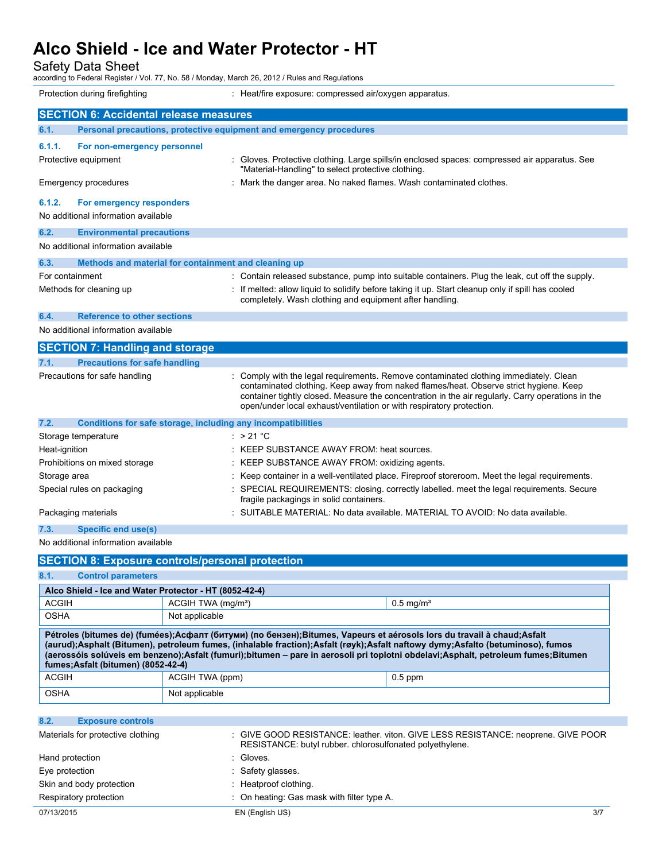Safety Data Sheet

| Protection during firefighting                                              | : Heat/fire exposure: compressed air/oxygen apparatus.                                                                                                                                                                                                                                                                                                    |
|-----------------------------------------------------------------------------|-----------------------------------------------------------------------------------------------------------------------------------------------------------------------------------------------------------------------------------------------------------------------------------------------------------------------------------------------------------|
| <b>SECTION 6: Accidental release measures</b>                               |                                                                                                                                                                                                                                                                                                                                                           |
| Personal precautions, protective equipment and emergency procedures<br>6.1. |                                                                                                                                                                                                                                                                                                                                                           |
| 6.1.1.<br>For non-emergency personnel                                       |                                                                                                                                                                                                                                                                                                                                                           |
| Protective equipment                                                        | : Gloves. Protective clothing. Large spills/in enclosed spaces: compressed air apparatus. See<br>"Material-Handling" to select protective clothing.                                                                                                                                                                                                       |
| Emergency procedures                                                        | : Mark the danger area. No naked flames. Wash contaminated clothes.                                                                                                                                                                                                                                                                                       |
| 6.1.2.<br>For emergency responders                                          |                                                                                                                                                                                                                                                                                                                                                           |
| No additional information available                                         |                                                                                                                                                                                                                                                                                                                                                           |
| 6.2.<br><b>Environmental precautions</b>                                    |                                                                                                                                                                                                                                                                                                                                                           |
| No additional information available                                         |                                                                                                                                                                                                                                                                                                                                                           |
| 6.3.<br>Methods and material for containment and cleaning up                |                                                                                                                                                                                                                                                                                                                                                           |
| For containment                                                             | : Contain released substance, pump into suitable containers. Plug the leak, cut off the supply.                                                                                                                                                                                                                                                           |
| Methods for cleaning up                                                     | : If melted: allow liquid to solidify before taking it up. Start cleanup only if spill has cooled<br>completely. Wash clothing and equipment after handling.                                                                                                                                                                                              |
| 6.4.<br><b>Reference to other sections</b>                                  |                                                                                                                                                                                                                                                                                                                                                           |
| No additional information available                                         |                                                                                                                                                                                                                                                                                                                                                           |
| <b>SECTION 7: Handling and storage</b>                                      |                                                                                                                                                                                                                                                                                                                                                           |
| 7.1.<br><b>Precautions for safe handling</b>                                |                                                                                                                                                                                                                                                                                                                                                           |
| Precautions for safe handling                                               | Comply with the legal requirements. Remove contaminated clothing immediately. Clean<br>contaminated clothing. Keep away from naked flames/heat. Observe strict hygiene. Keep<br>container tightly closed. Measure the concentration in the air regularly. Carry operations in the<br>open/under local exhaust/ventilation or with respiratory protection. |
| Conditions for safe storage, including any incompatibilities<br>7.2.        |                                                                                                                                                                                                                                                                                                                                                           |
| Storage temperature                                                         | : $>21^{\circ}$ C                                                                                                                                                                                                                                                                                                                                         |
| Heat-ignition                                                               | : KEEP SUBSTANCE AWAY FROM: heat sources.                                                                                                                                                                                                                                                                                                                 |
| Prohibitions on mixed storage                                               | : KEEP SUBSTANCE AWAY FROM: oxidizing agents.                                                                                                                                                                                                                                                                                                             |
| Storage area                                                                | Keep container in a well-ventilated place. Fireproof storeroom. Meet the legal requirements.                                                                                                                                                                                                                                                              |
| Special rules on packaging                                                  | SPECIAL REQUIREMENTS: closing. correctly labelled. meet the legal requirements. Secure<br>fragile packagings in solid containers.                                                                                                                                                                                                                         |
| Packaging materials                                                         | SUITABLE MATERIAL: No data available. MATERIAL TO AVOID: No data available.                                                                                                                                                                                                                                                                               |
| 7.3.<br><b>Specific end use(s)</b>                                          |                                                                                                                                                                                                                                                                                                                                                           |
| No additional information available                                         |                                                                                                                                                                                                                                                                                                                                                           |
| <b>SECTION 8: Exposure controls/personal protection</b>                     |                                                                                                                                                                                                                                                                                                                                                           |
| 8.1.<br><b>Control parameters</b>                                           |                                                                                                                                                                                                                                                                                                                                                           |

| 8.1.<br><b>Control parameters</b>                                                                                                                                                                                                                                                                                                                                                                                                    |                                |                         |  |
|--------------------------------------------------------------------------------------------------------------------------------------------------------------------------------------------------------------------------------------------------------------------------------------------------------------------------------------------------------------------------------------------------------------------------------------|--------------------------------|-------------------------|--|
| Alco Shield - Ice and Water Protector - HT (8052-42-4)                                                                                                                                                                                                                                                                                                                                                                               |                                |                         |  |
| <b>ACGIH</b>                                                                                                                                                                                                                                                                                                                                                                                                                         | ACGIH TWA (mg/m <sup>3</sup> ) | $0.5$ mg/m <sup>3</sup> |  |
| <b>OSHA</b>                                                                                                                                                                                                                                                                                                                                                                                                                          | Not applicable                 |                         |  |
| Pétroles (bitumes de) (fumées);Асфалт (битуми) (по бензен);Bitumes, Vapeurs et aérosols lors du travail à chaud;Asfalt<br>(aurud);Asphalt (Bitumen), petroleum fumes, (inhalable fraction);Asfalt (røyk);Asfalt naftowy dymy;Asfalto (betuminoso), fumos<br>(aerossóis solúveis em benzeno);Asfalt (fumuri);bitumen – pare in aerosoli pri toplotni obdelavi;Asphalt, petroleum fumes;Bitumen<br>fumes: Asfalt (bitumen) (8052-42-4) |                                |                         |  |
|                                                                                                                                                                                                                                                                                                                                                                                                                                      |                                |                         |  |
| <b>ACGIH</b>                                                                                                                                                                                                                                                                                                                                                                                                                         | ACGIH TWA (ppm)                | $0.5$ ppm               |  |
| <b>OSHA</b>                                                                                                                                                                                                                                                                                                                                                                                                                          | Not applicable                 |                         |  |
| 8.2.<br><b>Exposure controls</b>                                                                                                                                                                                                                                                                                                                                                                                                     |                                |                         |  |

| ----                              |                                                                                                                                               |     |
|-----------------------------------|-----------------------------------------------------------------------------------------------------------------------------------------------|-----|
| Materials for protective clothing | : GIVE GOOD RESISTANCE: leather. viton. GIVE LESS RESISTANCE: neoprene. GIVE POOR<br>RESISTANCE: butyl rubber. chlorosulfonated polyethylene. |     |
| Hand protection                   | : Gloves.                                                                                                                                     |     |
| Eye protection                    | : Safety glasses.                                                                                                                             |     |
| Skin and body protection          | : Heatproof clothing.                                                                                                                         |     |
| Respiratory protection            | : On heating: Gas mask with filter type A.                                                                                                    |     |
| 07/13/2015                        | EN (English US)                                                                                                                               | 3/7 |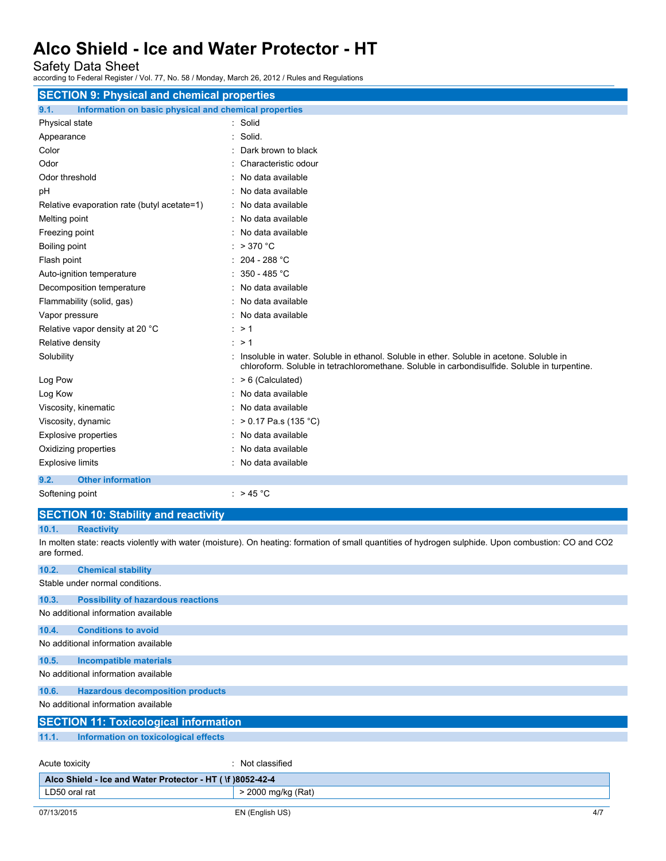Safety Data Sheet

according to Federal Register / Vol. 77, No. 58 / Monday, March 26, 2012 / Rules and Regulations

| <b>SECTION 9: Physical and chemical properties</b>            |                                                                                                                                                                                             |
|---------------------------------------------------------------|---------------------------------------------------------------------------------------------------------------------------------------------------------------------------------------------|
| Information on basic physical and chemical properties<br>9.1. |                                                                                                                                                                                             |
| Physical state                                                | : Solid                                                                                                                                                                                     |
| Appearance                                                    | Solid.<br>٠                                                                                                                                                                                 |
| Color                                                         | Dark brown to black                                                                                                                                                                         |
| Odor                                                          | Characteristic odour                                                                                                                                                                        |
| Odor threshold                                                | No data available                                                                                                                                                                           |
| pH                                                            | No data available                                                                                                                                                                           |
| Relative evaporation rate (butyl acetate=1)                   | : No data available                                                                                                                                                                         |
| Melting point                                                 | No data available                                                                                                                                                                           |
| Freezing point                                                | : No data available                                                                                                                                                                         |
| Boiling point                                                 | : $>370$ °C                                                                                                                                                                                 |
| Flash point                                                   | 204 - 288 °C                                                                                                                                                                                |
| Auto-ignition temperature                                     | : $350 - 485$ °C                                                                                                                                                                            |
| Decomposition temperature                                     | : No data available                                                                                                                                                                         |
| Flammability (solid, gas)                                     | No data available                                                                                                                                                                           |
| Vapor pressure                                                | : No data available                                                                                                                                                                         |
| Relative vapor density at 20 °C                               | : > 1                                                                                                                                                                                       |
| Relative density                                              | $\cdot$ > 1                                                                                                                                                                                 |
| Solubility                                                    | : Insoluble in water. Soluble in ethanol. Soluble in ether. Soluble in acetone. Soluble in<br>chloroform. Soluble in tetrachloromethane. Soluble in carbondisulfide. Soluble in turpentine. |
| Log Pow                                                       | $: >6$ (Calculated)                                                                                                                                                                         |
| Log Kow                                                       | : No data available                                                                                                                                                                         |
| Viscosity, kinematic                                          | : No data available                                                                                                                                                                         |
| Viscosity, dynamic                                            | : > 0.17 Pa.s (135 °C)                                                                                                                                                                      |
| <b>Explosive properties</b>                                   | : No data available                                                                                                                                                                         |
| Oxidizing properties                                          | No data available                                                                                                                                                                           |
| <b>Explosive limits</b>                                       | : No data available                                                                                                                                                                         |
| <b>Other information</b><br>9.2.                              |                                                                                                                                                                                             |
| Softening point                                               | : $> 45 °C$                                                                                                                                                                                 |

#### **SECTION 10: Stability and reactivity**

**10.1. Reactivity**

In molten state: reacts violently with water (moisture). On heating: formation of small quantities of hydrogen sulphide. Upon combustion: CO and CO2 are formed.

| 10.2.                                                      | <b>Chemical stability</b>                    |                    |     |
|------------------------------------------------------------|----------------------------------------------|--------------------|-----|
|                                                            | Stable under normal conditions.              |                    |     |
| 10.3.                                                      | <b>Possibility of hazardous reactions</b>    |                    |     |
|                                                            | No additional information available          |                    |     |
| 10.4.                                                      | <b>Conditions to avoid</b>                   |                    |     |
|                                                            | No additional information available          |                    |     |
| 10.5.                                                      | <b>Incompatible materials</b>                |                    |     |
|                                                            | No additional information available          |                    |     |
| 10.6.                                                      | <b>Hazardous decomposition products</b>      |                    |     |
| No additional information available                        |                                              |                    |     |
|                                                            | <b>SECTION 11: Toxicological information</b> |                    |     |
| 11.1.                                                      | Information on toxicological effects         |                    |     |
| Acute toxicity                                             |                                              | : Not classified   |     |
| Alco Shield - Ice and Water Protector - HT ( \f )8052-42-4 |                                              |                    |     |
| LD50 oral rat                                              |                                              | > 2000 mg/kg (Rat) |     |
| 07/13/2015                                                 |                                              | EN (English US)    | 4/7 |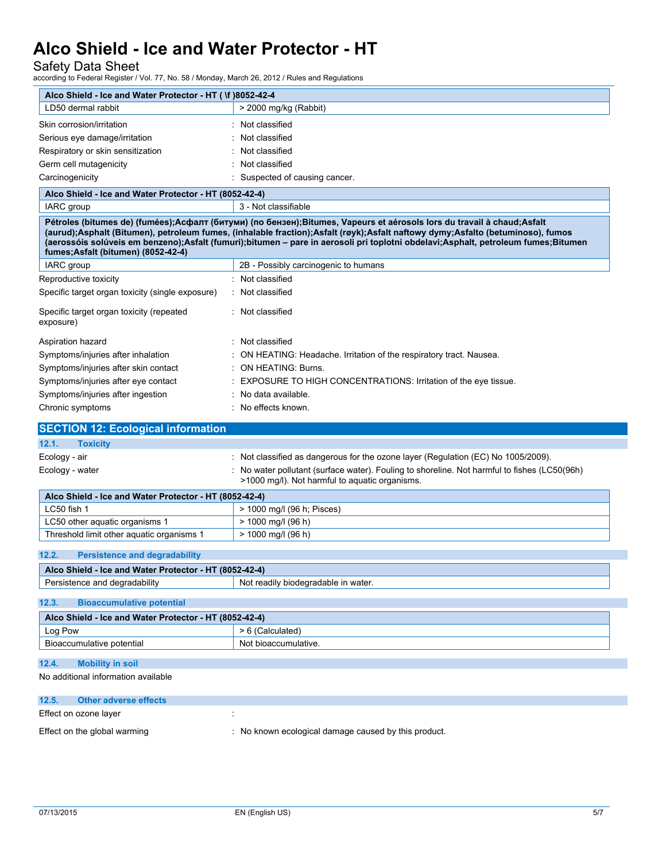Safety Data Sheet

| Alco Shield - Ice and Water Protector - HT ( \f )8052-42-4                              |                                                                                                                                                                                                                                                                                                                                                                                               |
|-----------------------------------------------------------------------------------------|-----------------------------------------------------------------------------------------------------------------------------------------------------------------------------------------------------------------------------------------------------------------------------------------------------------------------------------------------------------------------------------------------|
| LD50 dermal rabbit                                                                      | > 2000 mg/kg (Rabbit)                                                                                                                                                                                                                                                                                                                                                                         |
| Skin corrosion/irritation                                                               | : Not classified                                                                                                                                                                                                                                                                                                                                                                              |
| Serious eye damage/irritation                                                           | : Not classified                                                                                                                                                                                                                                                                                                                                                                              |
| Respiratory or skin sensitization                                                       | Not classified                                                                                                                                                                                                                                                                                                                                                                                |
| Germ cell mutagenicity                                                                  | : Not classified                                                                                                                                                                                                                                                                                                                                                                              |
| Carcinogenicity                                                                         | : Suspected of causing cancer.                                                                                                                                                                                                                                                                                                                                                                |
| Alco Shield - Ice and Water Protector - HT (8052-42-4)                                  |                                                                                                                                                                                                                                                                                                                                                                                               |
| IARC group                                                                              | 3 - Not classifiable                                                                                                                                                                                                                                                                                                                                                                          |
| fumes; Asfalt (bitumen) (8052-42-4)                                                     | Pétroles (bitumes de) (fumées);Асфалт (битуми) (по бензен);Bitumes, Vapeurs et aérosols lors du travail à chaud;Asfalt<br>(aurud);Asphalt (Bitumen), petroleum fumes, (inhalable fraction);Asfalt (røyk);Asfalt naftowy dymy;Asfalto (betuminoso), fumos<br>(aerossóis solúveis em benzeno);Asfalt (fumuri);bitumen – pare in aerosoli pri toplotni obdelavi;Asphalt, petroleum fumes;Bitumen |
| IARC group                                                                              | 2B - Possibly carcinogenic to humans                                                                                                                                                                                                                                                                                                                                                          |
| Reproductive toxicity                                                                   | : Not classified                                                                                                                                                                                                                                                                                                                                                                              |
| Specific target organ toxicity (single exposure)                                        | : Not classified                                                                                                                                                                                                                                                                                                                                                                              |
| Specific target organ toxicity (repeated<br>exposure)                                   | : Not classified                                                                                                                                                                                                                                                                                                                                                                              |
| Aspiration hazard                                                                       | : Not classified                                                                                                                                                                                                                                                                                                                                                                              |
| Symptoms/injuries after inhalation                                                      | : ON HEATING: Headache. Irritation of the respiratory tract. Nausea.                                                                                                                                                                                                                                                                                                                          |
| Symptoms/injuries after skin contact                                                    | : ON HEATING: Burns.                                                                                                                                                                                                                                                                                                                                                                          |
| Symptoms/injuries after eye contact                                                     | : EXPOSURE TO HIGH CONCENTRATIONS: Irritation of the eye tissue.                                                                                                                                                                                                                                                                                                                              |
| Symptoms/injuries after ingestion                                                       | : No data available.                                                                                                                                                                                                                                                                                                                                                                          |
| Chronic symptoms                                                                        | : No effects known.                                                                                                                                                                                                                                                                                                                                                                           |
|                                                                                         |                                                                                                                                                                                                                                                                                                                                                                                               |
|                                                                                         |                                                                                                                                                                                                                                                                                                                                                                                               |
| <b>SECTION 12: Ecological information</b>                                               |                                                                                                                                                                                                                                                                                                                                                                                               |
| <b>Toxicity</b><br>12.1.                                                                |                                                                                                                                                                                                                                                                                                                                                                                               |
| Ecology - air<br>Ecology - water                                                        | : Not classified as dangerous for the ozone layer (Regulation (EC) No 1005/2009).<br>: No water pollutant (surface water). Fouling to shoreline. Not harmful to fishes (LC50(96h)<br>>1000 mg/l). Not harmful to aquatic organisms.                                                                                                                                                           |
| Alco Shield - Ice and Water Protector - HT (8052-42-4)                                  |                                                                                                                                                                                                                                                                                                                                                                                               |
| LC50 fish 1                                                                             | > 1000 mg/l (96 h; Pisces)                                                                                                                                                                                                                                                                                                                                                                    |
| LC50 other aquatic organisms 1                                                          | $> 1000$ mg/l (96 h)                                                                                                                                                                                                                                                                                                                                                                          |
| Threshold limit other aquatic organisms 1                                               | $> 1000$ mg/l (96 h)                                                                                                                                                                                                                                                                                                                                                                          |
|                                                                                         |                                                                                                                                                                                                                                                                                                                                                                                               |
| 12.2.<br><b>Persistence and degradability</b>                                           |                                                                                                                                                                                                                                                                                                                                                                                               |
| Alco Shield - Ice and Water Protector - HT (8052-42-4)<br>Persistence and degradability | Not readily biodegradable in water.                                                                                                                                                                                                                                                                                                                                                           |
|                                                                                         |                                                                                                                                                                                                                                                                                                                                                                                               |
| 12.3.<br><b>Bioaccumulative potential</b>                                               |                                                                                                                                                                                                                                                                                                                                                                                               |
| Alco Shield - Ice and Water Protector - HT (8052-42-4)                                  |                                                                                                                                                                                                                                                                                                                                                                                               |
| Log Pow                                                                                 | > 6 (Calculated)                                                                                                                                                                                                                                                                                                                                                                              |
| Bioaccumulative potential                                                               | Not bioaccumulative.                                                                                                                                                                                                                                                                                                                                                                          |
| 12.4.<br><b>Mobility in soil</b>                                                        |                                                                                                                                                                                                                                                                                                                                                                                               |
| No additional information available                                                     |                                                                                                                                                                                                                                                                                                                                                                                               |
| 12.5.<br><b>Other adverse effects</b>                                                   |                                                                                                                                                                                                                                                                                                                                                                                               |
|                                                                                         |                                                                                                                                                                                                                                                                                                                                                                                               |
| Effect on ozone layer<br>Effect on the global warming                                   | : No known ecological damage caused by this product.                                                                                                                                                                                                                                                                                                                                          |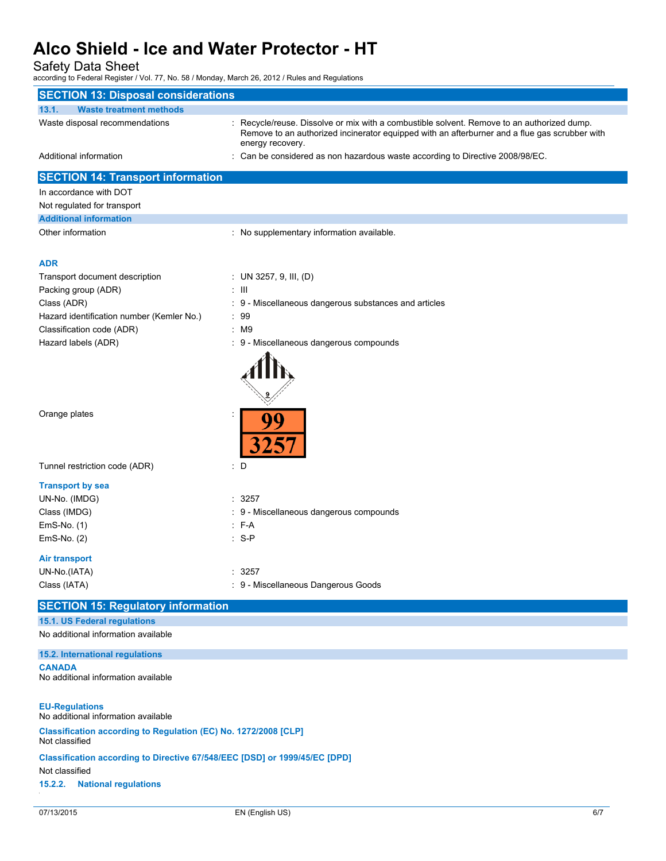Safety Data Sheet

| <b>SECTION 13: Disposal considerations</b>                                        |                                                                                                                                                                                             |     |
|-----------------------------------------------------------------------------------|---------------------------------------------------------------------------------------------------------------------------------------------------------------------------------------------|-----|
| 13.1.<br><b>Waste treatment methods</b>                                           |                                                                                                                                                                                             |     |
| Waste disposal recommendations                                                    | : Recycle/reuse. Dissolve or mix with a combustible solvent. Remove to an authorized dump.<br>Remove to an authorized incinerator equipped with an afterburner and a flue gas scrubber with |     |
| Additional information                                                            | energy recovery.<br>: Can be considered as non hazardous waste according to Directive 2008/98/EC.                                                                                           |     |
| <b>SECTION 14: Transport information</b>                                          |                                                                                                                                                                                             |     |
| In accordance with DOT                                                            |                                                                                                                                                                                             |     |
| Not regulated for transport                                                       |                                                                                                                                                                                             |     |
| <b>Additional information</b>                                                     |                                                                                                                                                                                             |     |
| Other information                                                                 | : No supplementary information available.                                                                                                                                                   |     |
| <b>ADR</b>                                                                        |                                                                                                                                                                                             |     |
| Transport document description                                                    | : UN 3257, 9, III, (D)                                                                                                                                                                      |     |
| Packing group (ADR)                                                               | $\pm$ 111                                                                                                                                                                                   |     |
| Class (ADR)                                                                       | : 9 - Miscellaneous dangerous substances and articles                                                                                                                                       |     |
| Hazard identification number (Kemler No.)                                         | : 99                                                                                                                                                                                        |     |
| Classification code (ADR)                                                         | $:$ M9                                                                                                                                                                                      |     |
| Hazard labels (ADR)                                                               | 9 - Miscellaneous dangerous compounds                                                                                                                                                       |     |
|                                                                                   |                                                                                                                                                                                             |     |
| Orange plates                                                                     | 99                                                                                                                                                                                          |     |
| Tunnel restriction code (ADR)                                                     | : D                                                                                                                                                                                         |     |
| <b>Transport by sea</b>                                                           |                                                                                                                                                                                             |     |
| UN-No. (IMDG)                                                                     | : 3257                                                                                                                                                                                      |     |
| Class (IMDG)                                                                      | : 9 - Miscellaneous dangerous compounds                                                                                                                                                     |     |
| $EmS-No. (1)$                                                                     | $F-A$                                                                                                                                                                                       |     |
| $EmS-No. (2)$                                                                     | $: S-P$                                                                                                                                                                                     |     |
| Air transport                                                                     |                                                                                                                                                                                             |     |
| UN-No.(IATA)                                                                      | : 3257                                                                                                                                                                                      |     |
| Class (IATA)                                                                      | : 9 - Miscellaneous Dangerous Goods                                                                                                                                                         |     |
| <b>SECTION 15: Regulatory information</b>                                         |                                                                                                                                                                                             |     |
| 15.1. US Federal regulations                                                      |                                                                                                                                                                                             |     |
| No additional information available                                               |                                                                                                                                                                                             |     |
| 15.2. International regulations                                                   |                                                                                                                                                                                             |     |
| <b>CANADA</b><br>No additional information available                              |                                                                                                                                                                                             |     |
| <b>EU-Regulations</b><br>No additional information available                      |                                                                                                                                                                                             |     |
| Classification according to Regulation (EC) No. 1272/2008 [CLP]<br>Not classified |                                                                                                                                                                                             |     |
| Classification according to Directive 67/548/EEC [DSD] or 1999/45/EC [DPD]        |                                                                                                                                                                                             |     |
| Not classified<br>15.2.2.<br><b>National regulations</b>                          |                                                                                                                                                                                             |     |
|                                                                                   |                                                                                                                                                                                             |     |
| 07/13/2015                                                                        | EN (English US)                                                                                                                                                                             | 6/7 |